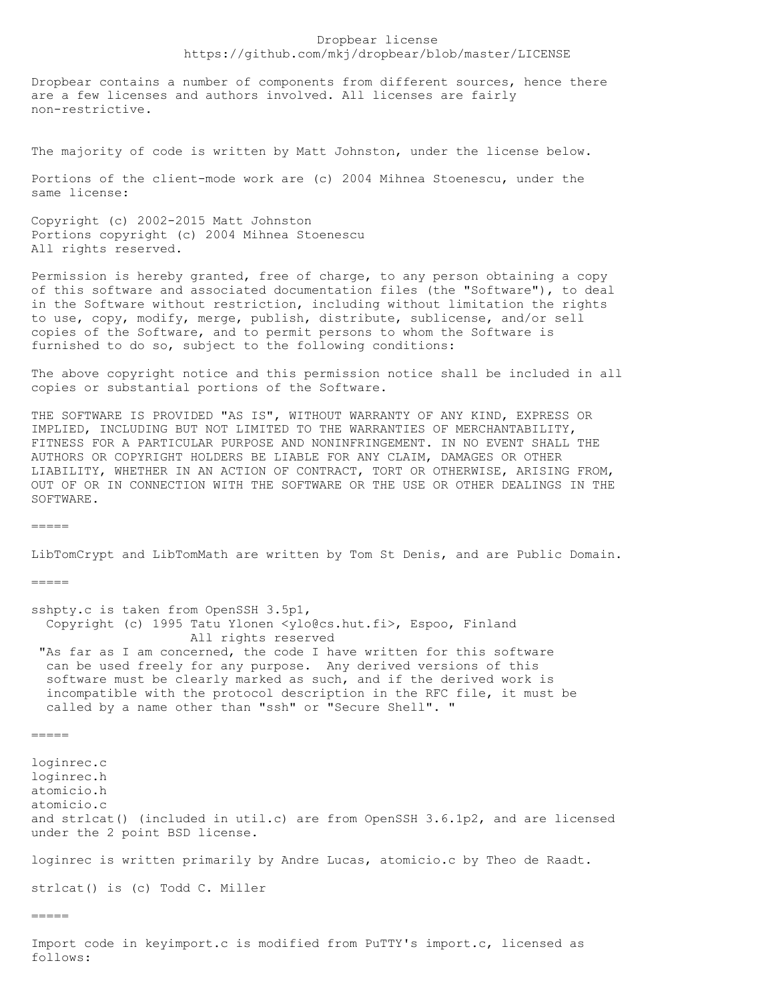## Dropbear license https://github.com/mkj/dropbear/blob/master/LICENSE

Dropbear contains a number of components from different sources, hence there are a few licenses and authors involved. All licenses are fairly non-restrictive.

The majority of code is written by Matt Johnston, under the license below.

Portions of the client-mode work are (c) 2004 Mihnea Stoenescu, under the same license:

Copyright (c) 2002-2015 Matt Johnston Portions copyright (c) 2004 Mihnea Stoenescu All rights reserved.

Permission is hereby granted, free of charge, to any person obtaining a copy of this software and associated documentation files (the "Software"), to deal in the Software without restriction, including without limitation the rights to use, copy, modify, merge, publish, distribute, sublicense, and/or sell copies of the Software, and to permit persons to whom the Software is furnished to do so, subject to the following conditions:

The above copyright notice and this permission notice shall be included in all copies or substantial portions of the Software.

THE SOFTWARE IS PROVIDED "AS IS", WITHOUT WARRANTY OF ANY KIND, EXPRESS OR IMPLIED, INCLUDING BUT NOT LIMITED TO THE WARRANTIES OF MERCHANTABILITY, FITNESS FOR A PARTICULAR PURPOSE AND NONINFRINGEMENT. IN NO EVENT SHALL THE AUTHORS OR COPYRIGHT HOLDERS BE LIABLE FOR ANY CLAIM, DAMAGES OR OTHER LIABILITY, WHETHER IN AN ACTION OF CONTRACT, TORT OR OTHERWISE, ARISING FROM, OUT OF OR IN CONNECTION WITH THE SOFTWARE OR THE USE OR OTHER DEALINGS IN THE SOFTWARE.

 $=$ 

LibTomCrypt and LibTomMath are written by Tom St Denis, and are Public Domain.

 $=$ 

sshpty.c is taken from OpenSSH 3.5p1, Copyright (c) 1995 Tatu Ylonen <ylo@cs.hut.fi>, Espoo, Finland All rights reserved "As far as I am concerned, the code I have written for this software can be used freely for any purpose. Any derived versions of this software must be clearly marked as such, and if the derived work is incompatible with the protocol description in the RFC file, it must be called by a name other than "ssh" or "Secure Shell". "

 $=$ 

loginrec.c loginrec.h atomicio.h atomicio.c and strlcat() (included in util.c) are from OpenSSH 3.6.1p2, and are licensed under the 2 point BSD license.

loginrec is written primarily by Andre Lucas, atomicio.c by Theo de Raadt.

strlcat() is (c) Todd C. Miller

 $=====$ 

Import code in keyimport.c is modified from PuTTY's import.c, licensed as follows: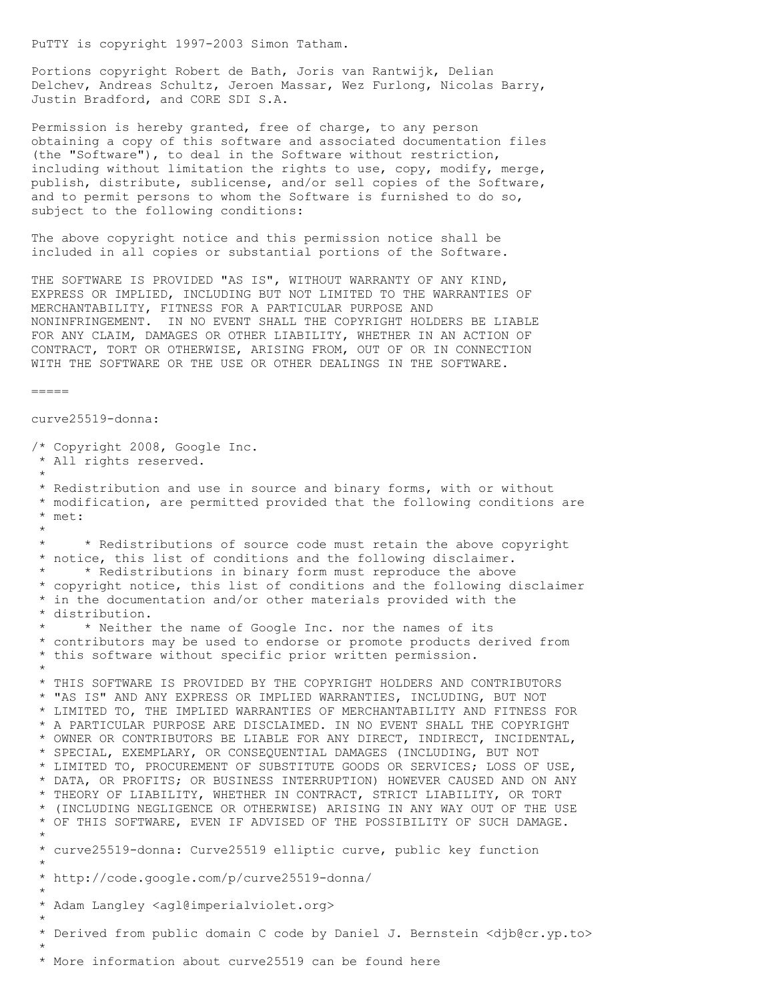PuTTY is copyright 1997-2003 Simon Tatham.

Portions copyright Robert de Bath, Joris van Rantwijk, Delian Delchev, Andreas Schultz, Jeroen Massar, Wez Furlong, Nicolas Barry, Justin Bradford, and CORE SDI S.A.

Permission is hereby granted, free of charge, to any person obtaining a copy of this software and associated documentation files (the "Software"), to deal in the Software without restriction, including without limitation the rights to use, copy, modify, merge, publish, distribute, sublicense, and/or sell copies of the Software, and to permit persons to whom the Software is furnished to do so, subject to the following conditions:

The above copyright notice and this permission notice shall be included in all copies or substantial portions of the Software.

THE SOFTWARE IS PROVIDED "AS IS", WITHOUT WARRANTY OF ANY KIND, EXPRESS OR IMPLIED, INCLUDING BUT NOT LIMITED TO THE WARRANTIES OF MERCHANTABILITY, FITNESS FOR A PARTICULAR PURPOSE AND NONINFRINGEMENT. IN NO EVENT SHALL THE COPYRIGHT HOLDERS BE LIABLE FOR ANY CLAIM, DAMAGES OR OTHER LIABILITY, WHETHER IN AN ACTION OF CONTRACT, TORT OR OTHERWISE, ARISING FROM, OUT OF OR IN CONNECTION WITH THE SOFTWARE OR THE USE OR OTHER DEALINGS IN THE SOFTWARE.

```
=
```

```
curve25519-donna:
```
/\* Copyright 2008, Google Inc. \* All rights reserved. \* \* Redistribution and use in source and binary forms, with or without \* modification, are permitted provided that the following conditions are \* met: \* \* \* Redistributions of source code must retain the above copyright \* notice, this list of conditions and the following disclaimer. \* Redistributions in binary form must reproduce the above \* copyright notice, this list of conditions and the following disclaimer \* in the documentation and/or other materials provided with the \* distribution. \* \* Neither the name of Google Inc. nor the names of its \* contributors may be used to endorse or promote products derived from \* this software without specific prior written permission. \* \* THIS SOFTWARE IS PROVIDED BY THE COPYRIGHT HOLDERS AND CONTRIBUTORS \* "AS IS" AND ANY EXPRESS OR IMPLIED WARRANTIES, INCLUDING, BUT NOT \* LIMITED TO, THE IMPLIED WARRANTIES OF MERCHANTABILITY AND FITNESS FOR \* A PARTICULAR PURPOSE ARE DISCLAIMED. IN NO EVENT SHALL THE COPYRIGHT \* OWNER OR CONTRIBUTORS BE LIABLE FOR ANY DIRECT, INDIRECT, INCIDENTAL, \* SPECIAL, EXEMPLARY, OR CONSEQUENTIAL DAMAGES (INCLUDING, BUT NOT \* LIMITED TO, PROCUREMENT OF SUBSTITUTE GOODS OR SERVICES; LOSS OF USE, \* DATA, OR PROFITS; OR BUSINESS INTERRUPTION) HOWEVER CAUSED AND ON ANY \* THEORY OF LIABILITY, WHETHER IN CONTRACT, STRICT LIABILITY, OR TORT \* (INCLUDING NEGLIGENCE OR OTHERWISE) ARISING IN ANY WAY OUT OF THE USE \* OF THIS SOFTWARE, EVEN IF ADVISED OF THE POSSIBILITY OF SUCH DAMAGE. \* \* curve25519-donna: Curve25519 elliptic curve, public key function \* \* http://code.google.com/p/curve25519-donna/ \* \* Adam Langley <agl@imperialviolet.org> \* \* Derived from public domain C code by Daniel J. Bernstein <djb@cr.yp.to> \* \* More information about curve25519 can be found here